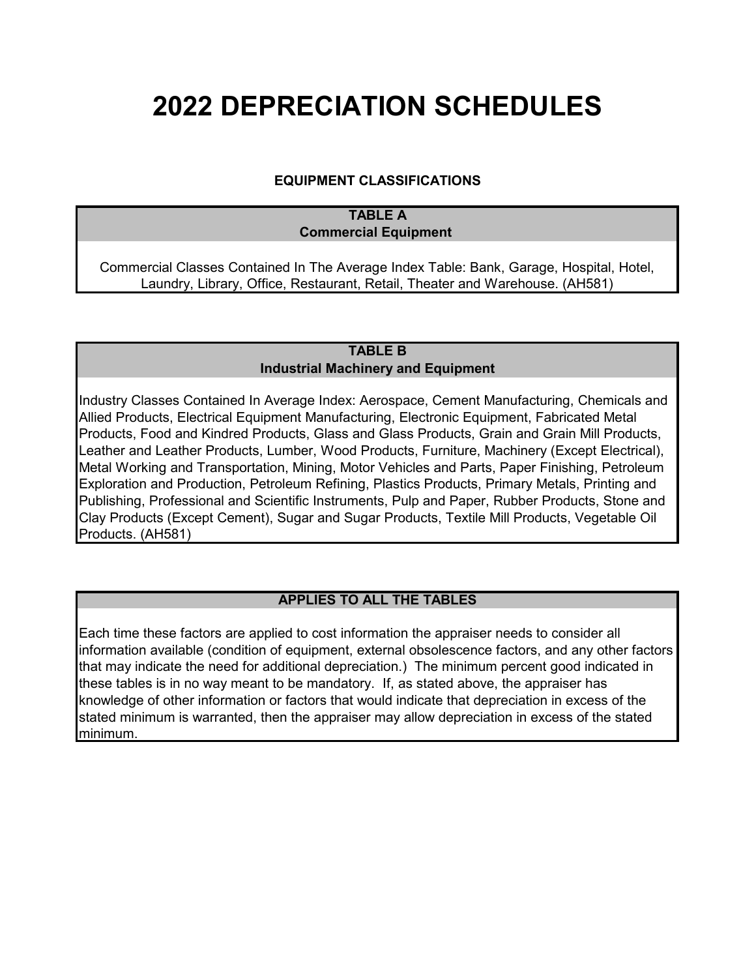# **2022 DEPRECIATION SCHEDULES**

## **EQUIPMENT CLASSIFICATIONS**

### **TABLE A Commercial Equipment**

Commercial Classes Contained In The Average Index Table: Bank, Garage, Hospital, Hotel, Laundry, Library, Office, Restaurant, Retail, Theater and Warehouse. (AH581)

#### **TABLE B Industrial Machinery and Equipment**

Industry Classes Contained In Average Index: Aerospace, Cement Manufacturing, Chemicals and Allied Products, Electrical Equipment Manufacturing, Electronic Equipment, Fabricated Metal Products, Food and Kindred Products, Glass and Glass Products, Grain and Grain Mill Products, Leather and Leather Products, Lumber, Wood Products, Furniture, Machinery (Except Electrical), Metal Working and Transportation, Mining, Motor Vehicles and Parts, Paper Finishing, Petroleum Exploration and Production, Petroleum Refining, Plastics Products, Primary Metals, Printing and Publishing, Professional and Scientific Instruments, Pulp and Paper, Rubber Products, Stone and Clay Products (Except Cement), Sugar and Sugar Products, Textile Mill Products, Vegetable Oil Products. (AH581)

## **APPLIES TO ALL THE TABLES**

Each time these factors are applied to cost information the appraiser needs to consider all information available (condition of equipment, external obsolescence factors, and any other factors that may indicate the need for additional depreciation.) The minimum percent good indicated in these tables is in no way meant to be mandatory. If, as stated above, the appraiser has knowledge of other information or factors that would indicate that depreciation in excess of the stated minimum is warranted, then the appraiser may allow depreciation in excess of the stated minimum.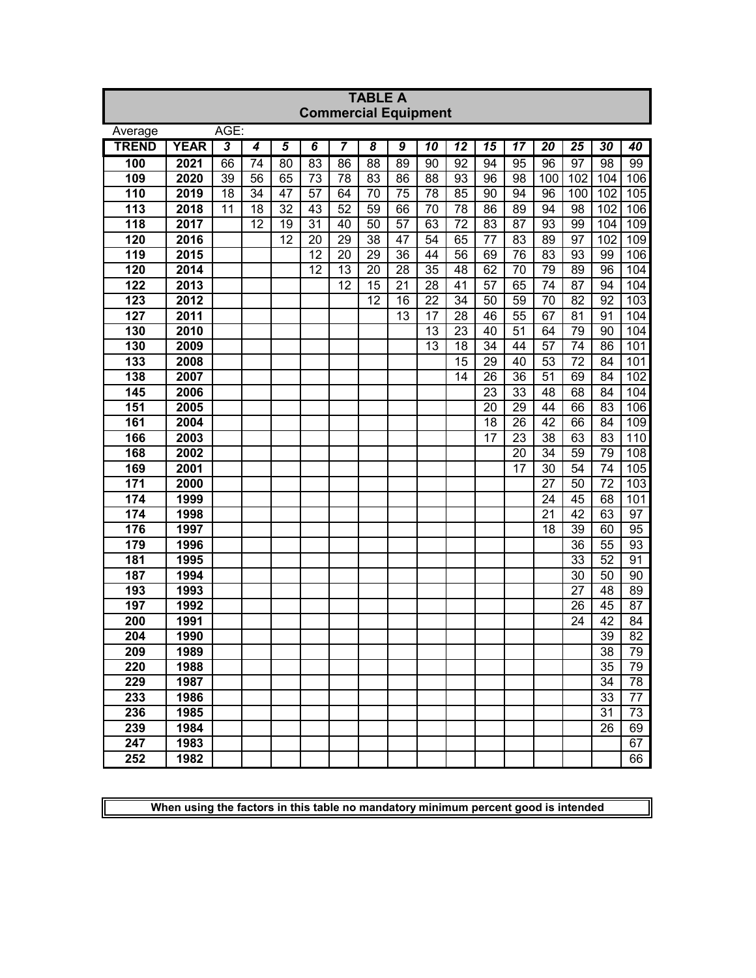|              | <b>TABLE A</b> |      |    |                 |                 |                             |                 |    |                 |                 |                 |                 |                 |                                    |                 |                  |
|--------------|----------------|------|----|-----------------|-----------------|-----------------------------|-----------------|----|-----------------|-----------------|-----------------|-----------------|-----------------|------------------------------------|-----------------|------------------|
|              |                |      |    |                 |                 | <b>Commercial Equipment</b> |                 |    |                 |                 |                 |                 |                 |                                    |                 |                  |
| Average      |                | AGE: |    |                 |                 |                             |                 |    |                 |                 |                 |                 |                 |                                    |                 |                  |
| <b>TREND</b> | <b>YEAR</b>    | 3    | 4  | 5               | 6               | 7                           | 8               | 9  | 10              | $\overline{12}$ | 15              | 17              | 20              | 25                                 | 30              | 40               |
| 100          | 2021           | 66   | 74 | $\overline{80}$ | $\overline{83}$ | 86                          | $\overline{88}$ | 89 | 90              | $\overline{92}$ | 94              | $\overline{95}$ | 96              | $\overline{97}$                    | $\overline{98}$ | $\overline{99}$  |
| 109          | 2020           | 39   | 56 | 65              | 73              | 78                          | 83              | 86 | 88              | 93              | 96              | 98              | 100             | 102                                | 104             | 106              |
| 110          | 2019           | 18   | 34 | 47              | 57              | 64                          | 70              | 75 | 78              | 85              | 90              | 94              | 96              | 100                                | 102             | 105              |
| 113          | 2018           | 11   | 18 | 32              | 43              | 52                          | 59              | 66 | $\overline{70}$ | 78              | 86              | 89              | 94              | 98                                 | 102             | 106              |
| 118          | 2017           |      | 12 | 19              | 31              | 40                          | 50              | 57 | 63              | 72              | 83              | 87              | 93              | 99                                 | 104             | 109              |
| 120          | 2016           |      |    | 12              | 20              | 29                          | 38              | 47 | 54              | 65              | $\overline{77}$ | 83              | 89              | $\overline{97}$                    | 102             | 109              |
| 119          | 2015           |      |    |                 | 12              | 20                          | 29              | 36 | 44              | 56              | 69              | 76              | 83              | 93                                 | 99              | 106              |
| 120          | 2014           |      |    |                 | 12              | 13                          | 20              | 28 | $\overline{35}$ | 48              | 62              | $\overline{70}$ | 79              | 89                                 | 96              | 104              |
| 122          | 2013           |      |    |                 |                 | 12                          | 15              | 21 | 28              | 41              | 57              | 65              | 74              | 87                                 | 94              | 104              |
| 123          | 2012           |      |    |                 |                 |                             | 12              | 16 | 22              | $\overline{34}$ | 50              | 59              | 70              | 82                                 | 92              | 103              |
| 127          | 2011           |      |    |                 |                 |                             |                 | 13 | $\overline{17}$ | 28              | 46              | 55              | 67              | 81                                 | 91              | 104              |
| 130          | 2010           |      |    |                 |                 |                             |                 |    | $\overline{13}$ | 23              | 40              | $\overline{51}$ | 64              | 79                                 | 90              | 104              |
| 130          | 2009           |      |    |                 |                 |                             |                 |    | 13              | 18              | 34              | 44              | 57              | 74                                 | 86              | 101              |
| 133          | 2008           |      |    |                 |                 |                             |                 |    |                 | $\overline{15}$ | 29              | 40              | $\overline{53}$ | 72                                 | 84              | 101              |
| 138          | 2007           |      |    |                 |                 |                             |                 |    |                 | 14              | 26              | 36              | 51              | 69                                 | 84              | 102              |
| 145          | 2006           |      |    |                 |                 |                             |                 |    |                 |                 | 23              | 33              | 48              | 68                                 | 84              | 104              |
| 151          | 2005           |      |    |                 |                 |                             |                 |    |                 |                 | 20              | 29              | 44              | 66                                 | 83              | $\overline{106}$ |
| 161          | 2004           |      |    |                 |                 |                             |                 |    |                 |                 | 18              | 26              | 42              | 66                                 | 84              | 109              |
| 166          | 2003           |      |    |                 |                 |                             |                 |    |                 |                 | 17              | 23              | 38              | 63                                 | 83              | 110              |
| 168          | 2002           |      |    |                 |                 |                             |                 |    |                 |                 |                 | 20              | 34              | 59                                 | 79              | 108              |
| 169          | 2001           |      |    |                 |                 |                             |                 |    |                 |                 |                 | 17              | 30              | 54                                 | 74              | 105              |
| 171          | 2000           |      |    |                 |                 |                             |                 |    |                 |                 |                 |                 | 27              | 50                                 | $\overline{72}$ | $\overline{103}$ |
| 174          | 1999           |      |    |                 |                 |                             |                 |    |                 |                 |                 |                 | 24              | 45                                 | 68              | 101              |
| 174          | 1998           |      |    |                 |                 |                             |                 |    |                 |                 |                 |                 | 21              | 42                                 | 63              | 97               |
| 176          | 1997           |      |    |                 |                 |                             |                 |    |                 |                 |                 |                 | 18              | $\overline{39}$                    | 60<br>55        | $\overline{95}$  |
| 179          | 1996           |      |    |                 |                 |                             |                 |    |                 |                 |                 |                 |                 | $\overline{36}$<br>$\overline{33}$ | $\overline{52}$ | 93<br>91         |
| 181<br>187   | 1995<br>1994   |      |    |                 |                 |                             |                 |    |                 |                 |                 |                 |                 | $\overline{30}$                    | 50              | 90               |
| 193          | 1993           |      |    |                 |                 |                             |                 |    |                 |                 |                 |                 |                 | 27                                 | 48              | 89               |
| 197          | 1992           |      |    |                 |                 |                             |                 |    |                 |                 |                 |                 |                 | $\overline{26}$                    | $\overline{45}$ | 87               |
| 200          | 1991           |      |    |                 |                 |                             |                 |    |                 |                 |                 |                 |                 | 24                                 | 42              | $\overline{8}4$  |
| 204          | 1990           |      |    |                 |                 |                             |                 |    |                 |                 |                 |                 |                 |                                    | $\overline{39}$ | $\overline{82}$  |
| 209          | 1989           |      |    |                 |                 |                             |                 |    |                 |                 |                 |                 |                 |                                    | 38              | 79               |
| 220          | 1988           |      |    |                 |                 |                             |                 |    |                 |                 |                 |                 |                 |                                    | 35              | 79               |
| 229          | 1987           |      |    |                 |                 |                             |                 |    |                 |                 |                 |                 |                 |                                    | 34              | 78               |
| 233          | 1986           |      |    |                 |                 |                             |                 |    |                 |                 |                 |                 |                 |                                    | 33              | 77               |
| 236          | 1985           |      |    |                 |                 |                             |                 |    |                 |                 |                 |                 |                 |                                    | 31              | 73               |
| 239          | 1984           |      |    |                 |                 |                             |                 |    |                 |                 |                 |                 |                 |                                    | 26              | 69               |
| 247          | 1983           |      |    |                 |                 |                             |                 |    |                 |                 |                 |                 |                 |                                    |                 | 67               |
| 252          | 1982           |      |    |                 |                 |                             |                 |    |                 |                 |                 |                 |                 |                                    |                 | 66               |
|              |                |      |    |                 |                 |                             |                 |    |                 |                 |                 |                 |                 |                                    |                 |                  |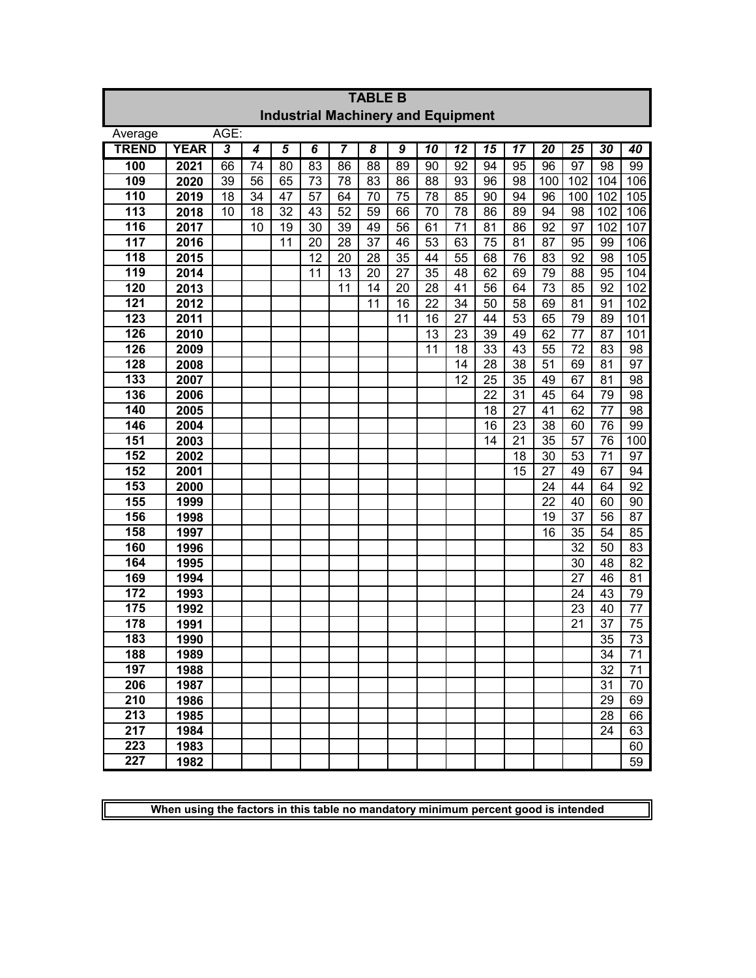|              | <b>TABLE B</b>                            |      |    |    |                             |    |                     |                |                 |                 |                 |                 |                 |     |                 |                  |
|--------------|-------------------------------------------|------|----|----|-----------------------------|----|---------------------|----------------|-----------------|-----------------|-----------------|-----------------|-----------------|-----|-----------------|------------------|
|              | <b>Industrial Machinery and Equipment</b> |      |    |    |                             |    |                     |                |                 |                 |                 |                 |                 |     |                 |                  |
| Average      |                                           | AGE: |    |    |                             |    |                     |                |                 |                 |                 |                 |                 |     |                 |                  |
| <b>TREND</b> | <b>YEAR</b>                               | 3    | 4  | 5  | $\overline{\boldsymbol{6}}$ | 7  | $\overline{\bm{8}}$ | $\overline{9}$ | 10              | $\overline{12}$ | 15              | 17              | 20              | 25  | 30              | 40               |
| 100          | 2021                                      | 66   | 74 | 80 | $\overline{83}$             | 86 | $\overline{88}$     | 89             | 90              | 92              | 94              | 95              | 96              | 97  | $\overline{98}$ | 99               |
| 109          | 2020                                      | 39   | 56 | 65 | 73                          | 78 | 83                  | 86             | 88              | 93              | 96              | 98              | 100             | 102 | 104             | $\overline{106}$ |
| 110          | 2019                                      | 18   | 34 | 47 | 57                          | 64 | 70                  | 75             | 78              | 85              | 90              | 94              | 96              | 100 | 102             | 105              |
| 113          | 2018                                      | 10   | 18 | 32 | 43                          | 52 | 59                  | 66             | $\overline{70}$ | 78              | 86              | 89              | 94              | 98  | 102             | 106              |
| 116          | 2017                                      |      | 10 | 19 | 30                          | 39 | 49                  | 56             | 61              | 71              | 81              | 86              | 92              | 97  | 102             | 107              |
| 117          | 2016                                      |      |    | 11 | 20                          | 28 | 37                  | 46             | 53              | 63              | 75              | 81              | 87              | 95  | 99              | 106              |
| 118          | 2015                                      |      |    |    | 12                          | 20 | 28                  | 35             | 44              | 55              | 68              | 76              | 83              | 92  | 98              | 105              |
| 119          | 2014                                      |      |    |    | 11                          | 13 | 20                  | 27             | 35              | 48              | 62              | 69              | 79              | 88  | 95              | 104              |
| 120          | 2013                                      |      |    |    |                             | 11 | 14                  | 20             | 28              | 41              | 56              | 64              | 73              | 85  | 92              | 102              |
| 121          | 2012                                      |      |    |    |                             |    | 11                  | 16             | 22              | 34              | 50              | 58              | 69              | 81  | 91              | 102              |
| 123          | 2011                                      |      |    |    |                             |    |                     | 11             | 16              | 27              | 44              | 53              | 65              | 79  | 89              | 101              |
| 126          | 2010                                      |      |    |    |                             |    |                     |                | 13              | 23              | 39              | 49              | 62              | 77  | 87              | 101              |
| 126          | 2009                                      |      |    |    |                             |    |                     |                | 11              | 18              | 33              | 43              | 55              | 72  | 83              | 98               |
| 128          | 2008                                      |      |    |    |                             |    |                     |                |                 | 14              | 28              | 38              | $\overline{51}$ | 69  | 81              | $\overline{97}$  |
| 133          | 2007                                      |      |    |    |                             |    |                     |                |                 | 12              | 25              | 35              | 49              | 67  | 81              | 98               |
| 136          | 2006                                      |      |    |    |                             |    |                     |                |                 |                 | $\overline{22}$ | $\overline{31}$ | 45              | 64  | 79              | 98               |
| 140          | 2005                                      |      |    |    |                             |    |                     |                |                 |                 | 18              | 27              | 41              | 62  | 77              | 98               |
| 146          | 2004                                      |      |    |    |                             |    |                     |                |                 |                 | 16              | 23              | 38              | 60  | 76              | 99               |
| 151          | 2003                                      |      |    |    |                             |    |                     |                |                 |                 | 14              | 21              | 35              | 57  | 76              | 100              |
| 152          | 2002                                      |      |    |    |                             |    |                     |                |                 |                 |                 | 18              | 30              | 53  | $\overline{71}$ | 97               |
| 152          | 2001                                      |      |    |    |                             |    |                     |                |                 |                 |                 | 15              | 27              | 49  | 67              | 94               |
| 153          | 2000                                      |      |    |    |                             |    |                     |                |                 |                 |                 |                 | 24              | 44  | 64              | 92               |
| 155          | 1999                                      |      |    |    |                             |    |                     |                |                 |                 |                 |                 | 22              | 40  | 60              | 90               |
| 156          | 1998                                      |      |    |    |                             |    |                     |                |                 |                 |                 |                 | 19              | 37  | 56              | 87               |
| 158          | 1997                                      |      |    |    |                             |    |                     |                |                 |                 |                 |                 | 16              | 35  | 54              | 85               |
| 160          | 1996                                      |      |    |    |                             |    |                     |                |                 |                 |                 |                 |                 | 32  | 50              | 83               |
| 164          | 1995                                      |      |    |    |                             |    |                     |                |                 |                 |                 |                 |                 | 30  | 48              | 82               |
| 169          | 1994                                      |      |    |    |                             |    |                     |                |                 |                 |                 |                 |                 | 27  | 46              | 81               |
| 172          | 1993                                      |      |    |    |                             |    |                     |                |                 |                 |                 |                 |                 | 24  | 43              | 79               |
| 175          | 1992                                      |      |    |    |                             |    |                     |                |                 |                 |                 |                 |                 | 23  | 40              | 77               |
| 178          | 1991                                      |      |    |    |                             |    |                     |                |                 |                 |                 |                 |                 | 21  | 37              | 75               |
| 183          | 1990                                      |      |    |    |                             |    |                     |                |                 |                 |                 |                 |                 |     | 35              | $\overline{73}$  |
| 188          | 1989                                      |      |    |    |                             |    |                     |                |                 |                 |                 |                 |                 |     | 34              | 71               |
| 197          | 1988                                      |      |    |    |                             |    |                     |                |                 |                 |                 |                 |                 |     | 32              | 71               |
| 206          | 1987                                      |      |    |    |                             |    |                     |                |                 |                 |                 |                 |                 |     | 31              | 70               |
| 210          | 1986                                      |      |    |    |                             |    |                     |                |                 |                 |                 |                 |                 |     | 29              | 69               |
| 213          | 1985                                      |      |    |    |                             |    |                     |                |                 |                 |                 |                 |                 |     | 28              | 66               |
| 217          | 1984                                      |      |    |    |                             |    |                     |                |                 |                 |                 |                 |                 |     | 24              | 63               |
| 223          | 1983                                      |      |    |    |                             |    |                     |                |                 |                 |                 |                 |                 |     |                 | 60               |
| 227          | 1982                                      |      |    |    |                             |    |                     |                |                 |                 |                 |                 |                 |     |                 | 59               |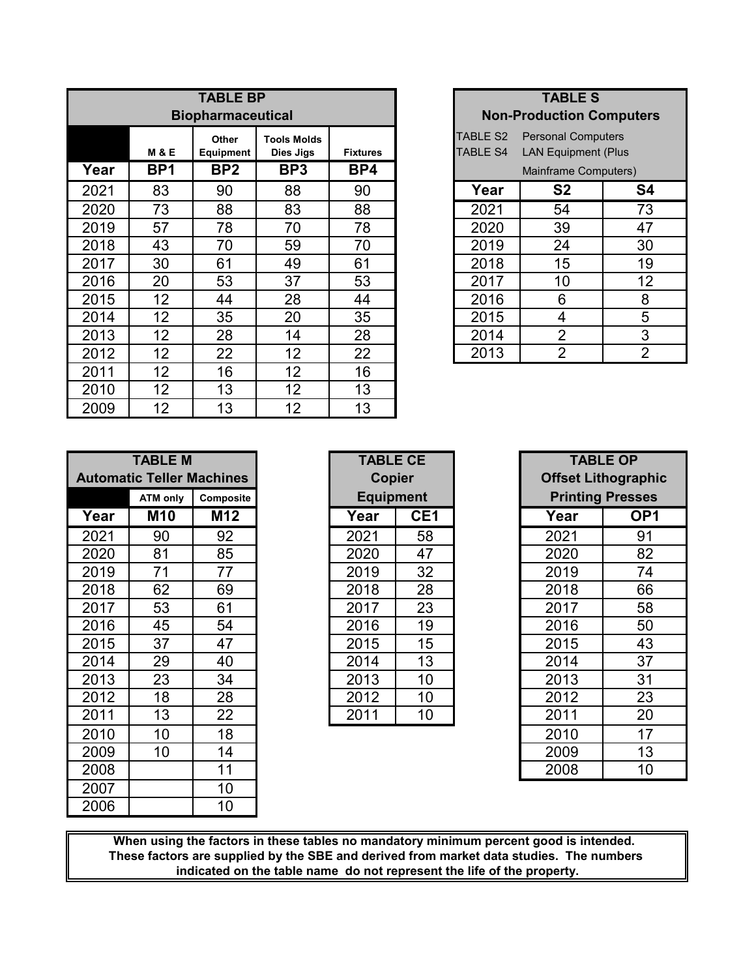|      |                   | <b>TABLE BP</b>          |                                 |                 |                                    | <b>TABLE S</b>                                          |                |
|------|-------------------|--------------------------|---------------------------------|-----------------|------------------------------------|---------------------------------------------------------|----------------|
|      |                   | <b>Biopharmaceutical</b> |                                 |                 |                                    | <b>Non-Production Computer</b>                          |                |
|      | <b>M &amp; E</b>  | Other<br>Equipment       | <b>Tools Molds</b><br>Dies Jigs | <b>Fixtures</b> | <b>TABLE S2</b><br><b>TABLE S4</b> | <b>Personal Computers</b><br><b>LAN Equipment (Plus</b> |                |
| Year | BP <sub>1</sub>   | BP <sub>2</sub>          | BP3                             | BP4             |                                    | Mainframe Computers)                                    |                |
| 2021 | 83                | 90                       | 88                              | 90              | Year                               | S <sub>2</sub>                                          | S <sub>4</sub> |
| 2020 | 73                | 88                       | 83                              | 88              | 2021                               | 54                                                      | 73             |
| 2019 | 57                | 78                       | 70                              | 78              | 2020                               | 39                                                      | 47             |
| 2018 | 43                | 70                       | 59                              | 70              | 2019                               | 24                                                      | 30             |
| 2017 | 30                | 61                       | 49                              | 61              | 2018                               | 15                                                      | 19             |
| 2016 | 20                | 53                       | 37                              | 53              | 2017                               | 10                                                      | 12             |
| 2015 | $12 \overline{ }$ | 44                       | 28                              | 44              | 2016                               | 6                                                       | 8              |
| 2014 | 12                | 35                       | 20                              | 35              | 2015                               | 4                                                       | 5              |
| 2013 | 12                | 28                       | 14                              | 28              | 2014                               | $\overline{2}$                                          | 3              |
| 2012 | 12                | 22                       | 12                              | 22              | 2013                               | $\overline{2}$                                          | $\overline{2}$ |
| 2011 | 12                | 16                       | 12                              | 16              |                                    |                                                         |                |
| 2010 | 12                | 13                       | 12                              | 13              |                                    |                                                         |                |
| 2009 | 12                | 13                       | 12                              | 13              |                                    |                                                         |                |

| <b>TABLE S</b>       |                                 |    |  |  |  |  |  |  |
|----------------------|---------------------------------|----|--|--|--|--|--|--|
|                      | <b>Non-Production Computers</b> |    |  |  |  |  |  |  |
| TABLE S2             | <b>Personal Computers</b>       |    |  |  |  |  |  |  |
| <b>TABLE S4</b>      | <b>LAN Equipment (Plus</b>      |    |  |  |  |  |  |  |
| Mainframe Computers) |                                 |    |  |  |  |  |  |  |
| Year                 | S <sub>2</sub>                  | S4 |  |  |  |  |  |  |
| 2021                 | 54                              | 73 |  |  |  |  |  |  |
| 2020                 | 39                              | 47 |  |  |  |  |  |  |
| 2019                 | 24                              | 30 |  |  |  |  |  |  |
| 2018                 | 15                              | 19 |  |  |  |  |  |  |
| 2017                 | 10                              | 12 |  |  |  |  |  |  |
| 2016                 | 6                               | 8  |  |  |  |  |  |  |
| 2015                 | 4                               | 5  |  |  |  |  |  |  |
| 2014                 | 2                               | 3  |  |  |  |  |  |  |
| 2013                 | $\overline{2}$                  | 2  |  |  |  |  |  |  |

|      | <b>TABLE M</b>                   |           |  | <b>TABLE CE</b>  |                 | <b>TABLE OP</b>           |                 |  |
|------|----------------------------------|-----------|--|------------------|-----------------|---------------------------|-----------------|--|
|      | <b>Automatic Teller Machines</b> |           |  | Copier           |                 | <b>Offset Lithographi</b> |                 |  |
|      | <b>ATM only</b>                  | Composite |  | <b>Equipment</b> |                 | <b>Printing Presses</b>   |                 |  |
| Year | <b>M10</b>                       | M12       |  | Year             | CE <sub>1</sub> | Year                      | OP <sub>1</sub> |  |
| 2021 | 90                               | 92        |  | 2021             | 58              | 2021                      | 91              |  |
| 2020 | 81                               | 85        |  | 2020             | 47              | 2020                      | 82              |  |
| 2019 | 71                               | 77        |  | 2019             | 32              | 2019                      | 74              |  |
| 2018 | 62                               | 69        |  | 2018             | 28              | 2018                      | 66              |  |
| 2017 | 53                               | 61        |  | 2017             | 23              | 2017                      | 58              |  |
| 2016 | 45                               | 54        |  | 2016             | 19              | 2016                      | 50              |  |
| 2015 | 37                               | 47        |  | 2015             | 15              | 2015                      | 43              |  |
| 2014 | 29                               | 40        |  | 2014             | 13              | 2014                      | 37              |  |
| 2013 | 23                               | 34        |  | 2013             | 10              | 2013                      | 31              |  |
| 2012 | 18                               | 28        |  | 2012             | 10              | 2012                      | 23              |  |
| 2011 | 13                               | 22        |  | 2011             | 10              | 2011                      | 20              |  |
| 2010 | 10                               | 18        |  |                  |                 | 2010                      | 17              |  |
| 2009 | 10                               | 14        |  |                  |                 | 2009                      | 13              |  |
| 2008 |                                  | 11        |  |                  |                 | 2008                      | 10 <sup>°</sup> |  |
| 2007 |                                  | 10        |  |                  |                 |                           |                 |  |
| 2006 |                                  | 10        |  |                  |                 |                           |                 |  |

| <b>TABLE CE</b><br>Copier |                  |  |  |  |  |  |  |  |  |
|---------------------------|------------------|--|--|--|--|--|--|--|--|
|                           | <b>Equipment</b> |  |  |  |  |  |  |  |  |
| Year                      | CE <sub>1</sub>  |  |  |  |  |  |  |  |  |
| 2021                      | 58               |  |  |  |  |  |  |  |  |
| 2020                      | 47               |  |  |  |  |  |  |  |  |
| 2019                      | 32               |  |  |  |  |  |  |  |  |
| 2018                      | 28               |  |  |  |  |  |  |  |  |
| 2017                      | 23               |  |  |  |  |  |  |  |  |
| 2016                      | 19               |  |  |  |  |  |  |  |  |
| 2015                      | 15               |  |  |  |  |  |  |  |  |
| 2014                      | 13               |  |  |  |  |  |  |  |  |
| 2013                      | 10               |  |  |  |  |  |  |  |  |
| 2012                      | 10               |  |  |  |  |  |  |  |  |
| 2011                      | 10               |  |  |  |  |  |  |  |  |

| <b>TABLE OP</b><br><b>Offset Lithographic</b><br><b>Printing Presses</b> |                 |  |  |  |  |  |  |  |
|--------------------------------------------------------------------------|-----------------|--|--|--|--|--|--|--|
| Year                                                                     | OP <sub>1</sub> |  |  |  |  |  |  |  |
| 2021                                                                     | 91              |  |  |  |  |  |  |  |
| 2020                                                                     | 82              |  |  |  |  |  |  |  |
| 2019                                                                     | 74              |  |  |  |  |  |  |  |
| 2018                                                                     | 66              |  |  |  |  |  |  |  |
| 2017                                                                     | 58              |  |  |  |  |  |  |  |
| 2016                                                                     | 50              |  |  |  |  |  |  |  |
| 2015                                                                     | 43              |  |  |  |  |  |  |  |
| 2014                                                                     | 37              |  |  |  |  |  |  |  |
| 2013                                                                     | 31              |  |  |  |  |  |  |  |
| 2012                                                                     | 23              |  |  |  |  |  |  |  |
| 2011                                                                     | 20              |  |  |  |  |  |  |  |
| 2010                                                                     | 17              |  |  |  |  |  |  |  |
| 2009                                                                     | 13              |  |  |  |  |  |  |  |
| 2008                                                                     | 10              |  |  |  |  |  |  |  |

**When using the factors in these tables no mandatory minimum percent good is intended. indicated on the table name do not represent the life of the property. These factors are supplied by the SBE and derived from market data studies. The numbers**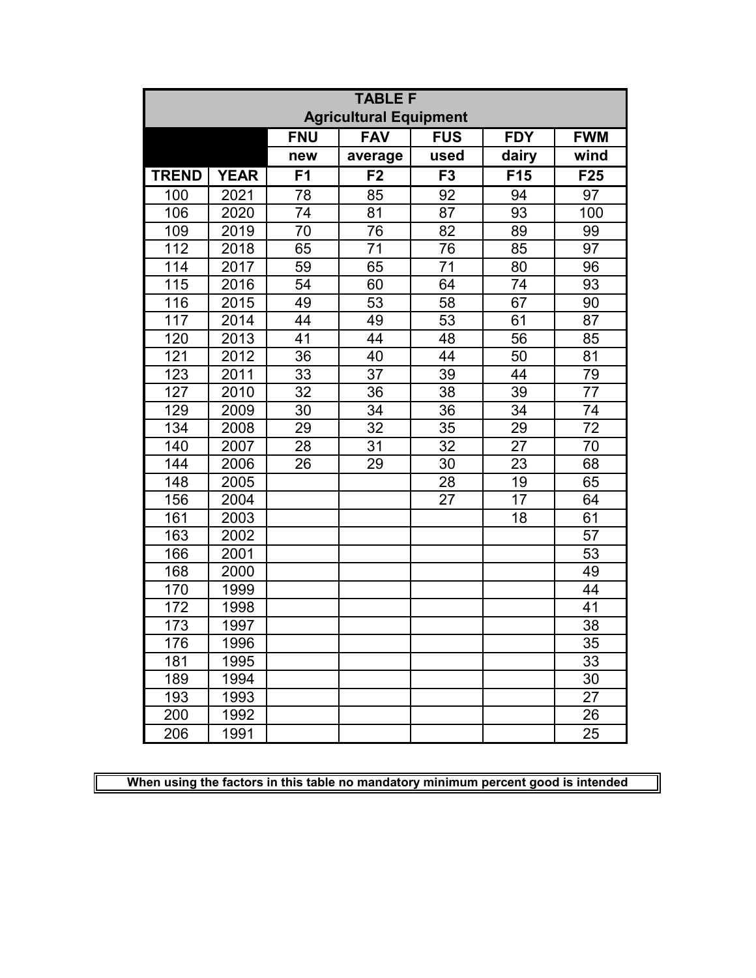|              | <b>TABLE F</b> |                |                               |            |            |            |  |  |  |  |
|--------------|----------------|----------------|-------------------------------|------------|------------|------------|--|--|--|--|
|              |                |                | <b>Agricultural Equipment</b> |            |            |            |  |  |  |  |
|              |                | <b>FNU</b>     | <b>FAV</b>                    | <b>FUS</b> | <b>FDY</b> | <b>FWM</b> |  |  |  |  |
|              |                | new            | average                       | used       | dairy      | wind       |  |  |  |  |
| <b>TREND</b> | <b>YEAR</b>    | F <sub>1</sub> | F <sub>2</sub>                | F3         | F15        | F25        |  |  |  |  |
| 100          | 2021           | 78             | 85                            | 92         | 94         | 97         |  |  |  |  |
| 106          | 2020           | 74             | 81                            | 87         | 93         | 100        |  |  |  |  |
| 109          | 2019           | 70             | 76                            | 82         | 89         | 99         |  |  |  |  |
| 112          | 2018           | 65             | $\overline{71}$               | 76         | 85         | 97         |  |  |  |  |
| 114          | 2017           | 59             | 65                            | 71         | 80         | 96         |  |  |  |  |
| 115          | 2016           | 54             | 60                            | 64         | 74         | 93         |  |  |  |  |
| 116          | 2015           | 49             | 53                            | 58         | 67         | 90         |  |  |  |  |
| 117          | 2014           | 44             | 49                            | 53         | 61         | 87         |  |  |  |  |
| 120          | 2013           | 41             | 44                            | 48         | 56         | 85         |  |  |  |  |
| 121          | 2012           | 36             | 40                            | 44         | 50         | 81         |  |  |  |  |
| 123          | 2011           | 33             | 37                            | 39         | 44         | 79         |  |  |  |  |
| 127          | 2010           | 32             | 36                            | 38         | 39         | 77         |  |  |  |  |
| 129          | 2009           | 30             | 34                            | 36         | 34         | 74         |  |  |  |  |
| 134          | 2008           | 29             | 32                            | 35         | 29         | 72         |  |  |  |  |
| 140          | 2007           | 28             | $\overline{31}$               | 32         | 27         | 70         |  |  |  |  |
| 144          | 2006           | 26             | 29                            | 30         | 23         | 68         |  |  |  |  |
| 148          | 2005           |                |                               | 28         | 19         | 65         |  |  |  |  |
| 156          | 2004           |                |                               | 27         | 17         | 64         |  |  |  |  |
| 161          | 2003           |                |                               |            | 18         | 61         |  |  |  |  |
| 163          | 2002           |                |                               |            |            | 57         |  |  |  |  |
| 166          | 2001           |                |                               |            |            | 53         |  |  |  |  |
| 168          | 2000           |                |                               |            |            | 49         |  |  |  |  |
| 170          | 1999           |                |                               |            |            | 44         |  |  |  |  |
| 172          | 1998           |                |                               |            |            | 41         |  |  |  |  |
| 173          | 1997           |                |                               |            |            | 38         |  |  |  |  |
| 176          | 1996           |                |                               |            |            | 35         |  |  |  |  |
| 181          | 1995           |                |                               |            |            | 33         |  |  |  |  |
| 189          | 1994           |                |                               |            |            | 30         |  |  |  |  |
| 193          | 1993           |                |                               |            |            | 27         |  |  |  |  |
| 200          | 1992           |                |                               |            |            | 26         |  |  |  |  |
| 206          | 1991           |                |                               |            |            | 25         |  |  |  |  |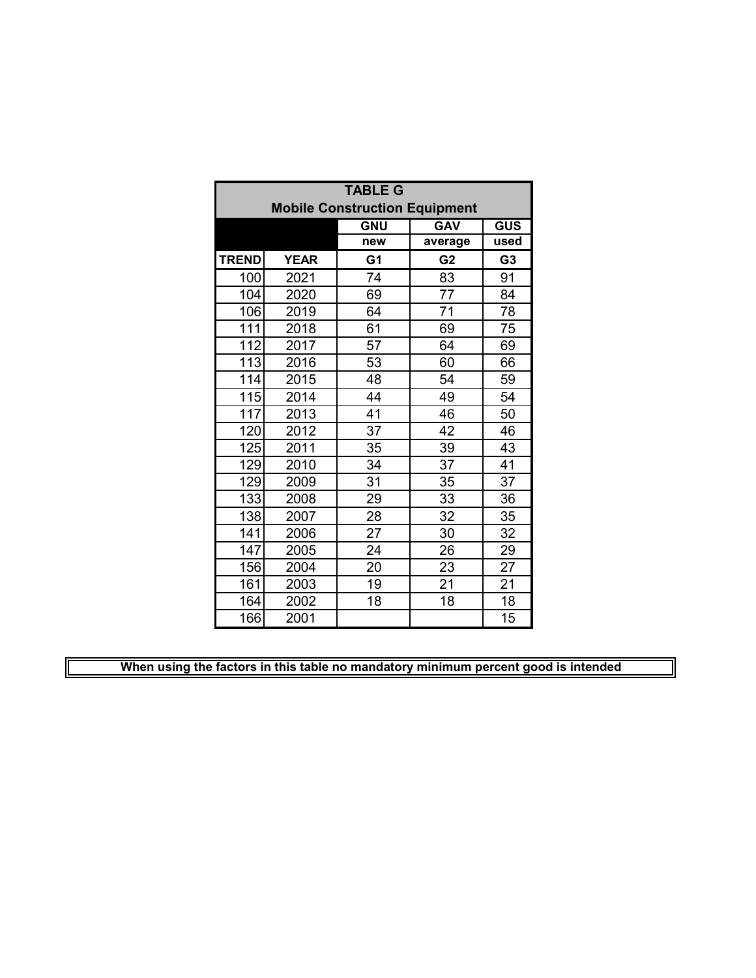|              | <b>TABLE G</b> |                                      |                |                |  |  |  |  |  |  |
|--------------|----------------|--------------------------------------|----------------|----------------|--|--|--|--|--|--|
|              |                | <b>Mobile Construction Equipment</b> |                |                |  |  |  |  |  |  |
|              |                | <b>GNU</b>                           | <b>GAV</b>     | <b>GUS</b>     |  |  |  |  |  |  |
|              |                | new                                  | average        | used           |  |  |  |  |  |  |
| <b>TREND</b> | <b>YEAR</b>    | G <sub>1</sub>                       | G <sub>2</sub> | G <sub>3</sub> |  |  |  |  |  |  |
| 100          | 2021           | 74                                   | 83             | 91             |  |  |  |  |  |  |
| 104          | 2020           | 69                                   | 77             | 84             |  |  |  |  |  |  |
| 106          | 2019           | 64                                   | 71             | 78             |  |  |  |  |  |  |
| 111          | 2018           | 61                                   | 69             | 75             |  |  |  |  |  |  |
| 112          | 2017           | 57                                   | 64             | 69             |  |  |  |  |  |  |
| 113          | 2016           | 53                                   | 60             | 66             |  |  |  |  |  |  |
| 114          | 2015           | 48                                   | 54             | 59             |  |  |  |  |  |  |
| 115          | 2014           | 44                                   | 49             | 54             |  |  |  |  |  |  |
| 117          | 2013           | 41                                   | 46             | 50             |  |  |  |  |  |  |
| 120          | 2012           | 37                                   | 42             | 46             |  |  |  |  |  |  |
| 125          | 2011           | 35                                   | 39             | 43             |  |  |  |  |  |  |
| 129          | 2010           | 34                                   | 37             | 41             |  |  |  |  |  |  |
| 129          | 2009           | 31                                   | 35             | 37             |  |  |  |  |  |  |
| 133          | 2008           | 29                                   | 33             | 36             |  |  |  |  |  |  |
| 138          | 2007           | 28                                   | 32             | 35             |  |  |  |  |  |  |
| 141          | 2006           | 27                                   | 30             | 32             |  |  |  |  |  |  |
| 147          | 2005           | 24                                   | 26             | 29             |  |  |  |  |  |  |
| 156          | 2004           | 20                                   | 23             | 27             |  |  |  |  |  |  |
| 161          | 2003           | 19                                   | 21             | 21             |  |  |  |  |  |  |
| 164          | 2002           | 18                                   | 18             | 18             |  |  |  |  |  |  |
| 166          | 2001           |                                      |                | 15             |  |  |  |  |  |  |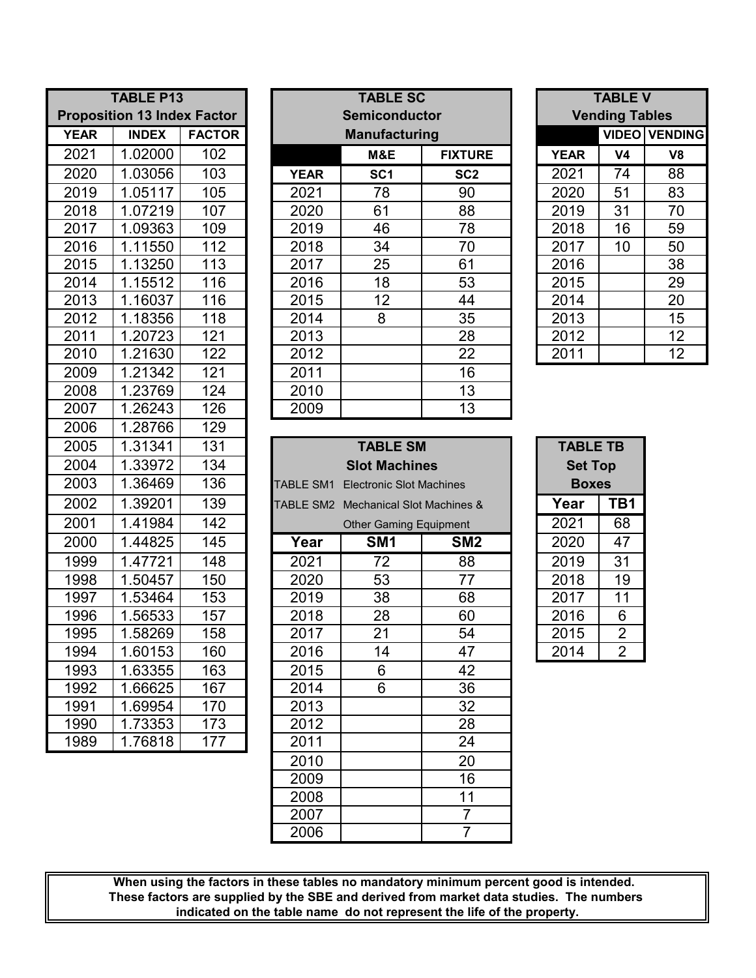| <b>TABLE P13</b>  |                                    |                  |  |  |  |  |  |  |  |
|-------------------|------------------------------------|------------------|--|--|--|--|--|--|--|
|                   | <b>Proposition 13 Index Factor</b> |                  |  |  |  |  |  |  |  |
| <b>YEAR</b>       | <b>INDEX</b>                       | <b>FACTOR</b>    |  |  |  |  |  |  |  |
| 2021              | 1.02000                            | 102              |  |  |  |  |  |  |  |
| 2020              | 1.03056                            | 103              |  |  |  |  |  |  |  |
| 2019              | 1.05117                            | 105              |  |  |  |  |  |  |  |
| 2018              | 1.07219                            | 107              |  |  |  |  |  |  |  |
| 2017              | 1.09363                            | 109              |  |  |  |  |  |  |  |
| 2016              | 1.11550                            | 112              |  |  |  |  |  |  |  |
| 2015              | 1.13250                            | 113              |  |  |  |  |  |  |  |
| 2014              | 1.15512                            | 116              |  |  |  |  |  |  |  |
| 2013              | 1.16037                            | 116              |  |  |  |  |  |  |  |
| 2012              | 1.18356                            | 118              |  |  |  |  |  |  |  |
| 2011              | 1.20723                            | 121              |  |  |  |  |  |  |  |
| 2010              | 1.21630                            | $\overline{122}$ |  |  |  |  |  |  |  |
| 2009              | 1.21342                            | 121              |  |  |  |  |  |  |  |
| 2008              | 1.23769                            | 124              |  |  |  |  |  |  |  |
| 2007              | 1.26243                            | 126              |  |  |  |  |  |  |  |
| 2006              | 1.28766                            | 129              |  |  |  |  |  |  |  |
| 2005              | 1.31341                            | 131              |  |  |  |  |  |  |  |
| $200\overline{4}$ | 1.33972                            | 134              |  |  |  |  |  |  |  |
| 2003              | 1.36469                            | 136              |  |  |  |  |  |  |  |
| 2002              | 1.39201                            | 139              |  |  |  |  |  |  |  |
| 2001              | 1.41984                            | 142              |  |  |  |  |  |  |  |
| 2000              | 1.44825                            | 145              |  |  |  |  |  |  |  |
| 1999              | 1.47721                            | 148              |  |  |  |  |  |  |  |
| 1998              | 1.50457                            | 150              |  |  |  |  |  |  |  |
| 1997              | 1.53464                            | 153              |  |  |  |  |  |  |  |
| 1996              | 1.56533                            | 157              |  |  |  |  |  |  |  |
| 1995              | 1.58269                            | 158              |  |  |  |  |  |  |  |
| 1994              | 1.60153                            | 160              |  |  |  |  |  |  |  |
| 1993              | 1.63355                            | 163              |  |  |  |  |  |  |  |
| 1992              | 1.66625                            | 167              |  |  |  |  |  |  |  |
| 1991              | 1.69954                            | 170              |  |  |  |  |  |  |  |
| 1990              | 1.73353                            | 173              |  |  |  |  |  |  |  |
| 1989              | 1.76818                            | 177              |  |  |  |  |  |  |  |

| <b>TABLE P13</b><br><b>Proposition 13 Index Factor</b> |              |               |             | <b>TABLE SC</b><br><b>Semiconductor</b> | <b>TABLE V</b><br><b>Vending Tables</b> |             |              |                |
|--------------------------------------------------------|--------------|---------------|-------------|-----------------------------------------|-----------------------------------------|-------------|--------------|----------------|
| <b>YEAR</b>                                            | <b>INDEX</b> | <b>FACTOR</b> |             | <b>Manufacturing</b>                    |                                         |             | <b>VIDEO</b> | <b>VENDING</b> |
| 2021                                                   | 1.02000      | 102           |             | M&E                                     | <b>FIXTURE</b>                          | <b>YEAR</b> | V4           | V8             |
| 2020                                                   | 1.03056      | 103           | <b>YEAR</b> | SC <sub>1</sub>                         | SC <sub>2</sub>                         | 2021        | 74           | 88             |
| 2019                                                   | 1.05117      | 105           | 2021        | 78                                      | 90                                      | 2020        | 51           | 83             |
| 2018                                                   | 1.07219      | 107           | 2020        | 61                                      | 88                                      | 2019        | 31           | 70             |
| 2017                                                   | 1.09363      | 109           | 2019        | 46                                      | 78                                      | 2018        | 16           | 59             |
| 2016                                                   | 1.11550      | 112           | 2018        | 34                                      | 70                                      | 2017        | 10           | 50             |
| 2015                                                   | 1.13250      | 113           | 2017        | 25                                      | 61                                      | 2016        |              | 38             |
| 2014                                                   | 1.15512      | 116           | 2016        | 18                                      | 53                                      | 2015        |              | 29             |
| 2013                                                   | 1.16037      | 116           | 2015        | 12                                      | 44                                      | 2014        |              | 20             |
| 2012                                                   | 1.18356      | 118           | 2014        | 8                                       | 35                                      | 2013        |              | 15             |
| 2011                                                   | 1.20723      | 121           | 2013        |                                         | 28                                      | 2012        |              | 12             |
| 2010                                                   | 1.21630      | 122           | 2012        |                                         | 22                                      | 2011        |              | 12             |
| 2009                                                   | 1.21342      | 121           | 2011        |                                         | 16                                      |             |              |                |
| 2008                                                   | 1.23769      | 124           | 2010        |                                         | 13                                      |             |              |                |
| 2007                                                   | 1.26243      | 126           | 2009        |                                         | 13                                      |             |              |                |
|                                                        |              |               |             |                                         |                                         |             |              |                |

| <b>TABLE V</b><br><b>Vending Tables</b> |    |                      |  |  |  |  |  |  |  |
|-----------------------------------------|----|----------------------|--|--|--|--|--|--|--|
|                                         |    | <b>VIDEO VENDING</b> |  |  |  |  |  |  |  |
| <b>YEAR</b>                             | V4 | V8                   |  |  |  |  |  |  |  |
| 2021                                    | 74 | 88                   |  |  |  |  |  |  |  |
| 2020                                    | 51 | 83                   |  |  |  |  |  |  |  |
| 2019                                    | 31 | 70                   |  |  |  |  |  |  |  |
| 2018                                    | 16 | 59                   |  |  |  |  |  |  |  |
| 2017                                    | 10 | 50                   |  |  |  |  |  |  |  |
| 2016                                    |    | 38                   |  |  |  |  |  |  |  |
| 2015                                    |    | 29                   |  |  |  |  |  |  |  |
| 2014                                    |    | 20                   |  |  |  |  |  |  |  |
| 2013                                    |    | 15                   |  |  |  |  |  |  |  |
| 2012                                    |    | 12                   |  |  |  |  |  |  |  |
| 2011                                    |    | 12                   |  |  |  |  |  |  |  |

| 2005 | 1.31341 | 131 |                                      | <b>TABLE SM</b> |                 | <b>TABLE TB</b> |                |
|------|---------|-----|--------------------------------------|-----------------|-----------------|-----------------|----------------|
| 2004 | 1.33972 | 134 |                                      | <b>Set Top</b>  |                 |                 |                |
| 2003 | 1.36469 | 136 | TABLE SM1                            | <b>Boxes</b>    |                 |                 |                |
| 2002 | 1.39201 | 139 | TABLE SM2 Mechanical Slot Machines & | Year            | TB1             |                 |                |
| 2001 | 1.41984 | 142 |                                      | 2021            | 68              |                 |                |
| 2000 | 1.44825 | 145 | Year                                 | SM <sub>1</sub> | SM <sub>2</sub> | 2020            | 47             |
| 1999 | 1.47721 | 148 | 2021                                 | 72              | 88              | 2019            | 31             |
| 1998 | 1.50457 | 150 | 2020                                 | 53              | 77              | 2018            | 19             |
| 1997 | 1.53464 | 153 | 2019                                 | 38              | 68              | 2017            | 11             |
| 1996 | 1.56533 | 157 | 2018                                 | 28              | 60              | 2016            | 6              |
| 1995 | 1.58269 | 158 | 2017                                 | 21              | 54              | 2015            | $\overline{2}$ |
| 1994 | 1.60153 | 160 | 2016                                 | 14              | 47              | 2014            | $\overline{2}$ |
| 1993 | 1.63355 | 163 | 2015                                 | 6               | 42              |                 |                |
| 1992 | 1.66625 | 167 | 2014                                 | 6               | 36              |                 |                |
| 1991 | 1.69954 | 170 | 2013                                 |                 | 32              |                 |                |
| 1990 | 1.73353 | 173 | 2012                                 |                 | 28              |                 |                |
| 1989 | 1.76818 | 177 | 2011                                 |                 | 24              |                 |                |
|      |         |     | 2010                                 |                 | 20              |                 |                |
|      |         |     | 2009                                 |                 | 16              |                 |                |
|      |         |     | 2008                                 |                 | 11              |                 |                |
|      |         |     | 2007                                 |                 | $\overline{7}$  |                 |                |
|      |         |     | 2006                                 |                 | $\overline{7}$  |                 |                |
|      |         |     |                                      |                 |                 |                 |                |

| <b>TABLE TB</b><br><b>Set Top</b><br><b>Boxes</b> |                |  |  |  |  |  |  |  |  |
|---------------------------------------------------|----------------|--|--|--|--|--|--|--|--|
| Year                                              | TB1            |  |  |  |  |  |  |  |  |
| 2021                                              | 68             |  |  |  |  |  |  |  |  |
| 2020                                              | 47             |  |  |  |  |  |  |  |  |
| 2019                                              | 31             |  |  |  |  |  |  |  |  |
| 2018                                              | 19             |  |  |  |  |  |  |  |  |
| 2017                                              | 11             |  |  |  |  |  |  |  |  |
| 2016                                              | 6              |  |  |  |  |  |  |  |  |
| 2015                                              | 2              |  |  |  |  |  |  |  |  |
| 2014                                              | $\overline{2}$ |  |  |  |  |  |  |  |  |

**indicated on the table name do not represent the life of the property. When using the factors in these tables no mandatory minimum percent good is intended. These factors are supplied by the SBE and derived from market data studies. The numbers**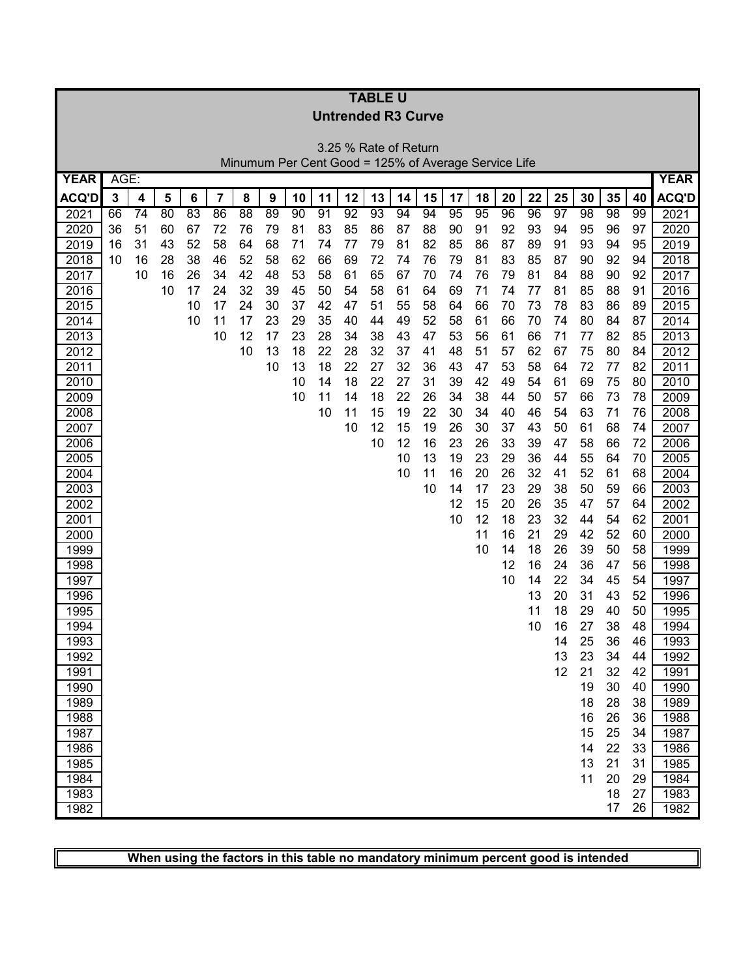|              |      |    |          |          |          |                 |          |          |          |                                                      | <b>TABLE U</b>  |          |          |          |          |          |          |          |          |                 |          |              |
|--------------|------|----|----------|----------|----------|-----------------|----------|----------|----------|------------------------------------------------------|-----------------|----------|----------|----------|----------|----------|----------|----------|----------|-----------------|----------|--------------|
|              |      |    |          |          |          |                 |          |          |          | <b>Untrended R3 Curve</b>                            |                 |          |          |          |          |          |          |          |          |                 |          |              |
|              |      |    |          |          |          |                 |          |          |          |                                                      |                 |          |          |          |          |          |          |          |          |                 |          |              |
|              |      |    |          |          |          |                 |          |          |          | 3.25 % Rate of Return                                |                 |          |          |          |          |          |          |          |          |                 |          |              |
|              |      |    |          |          |          |                 |          |          |          | Minumum Per Cent Good = 125% of Average Service Life |                 |          |          |          |          |          |          |          |          |                 |          |              |
| <b>YEAR</b>  | AGE: |    |          |          |          |                 |          |          |          |                                                      |                 |          |          |          |          |          |          |          |          |                 |          | <b>YEAR</b>  |
| <b>ACQ'D</b> | 3    | 4  | 5        | 6        | 7        | 8               | 9        | 10       | 11       | 12                                                   | 13              | 14       | 15       | 17       | 18       | 20       | 22       | 25       | 30       | 35              | 40       | <b>ACQ'D</b> |
| 2021         | 66   | 74 | 80       | 83       | 86       | $\overline{88}$ | 89       | 90       | 91       | $\overline{92}$                                      | $\overline{93}$ | 94       | 94       | 95       | 95       | 96       | 96       | 97       | 98       | $\overline{98}$ | 99       | 2021         |
| 2020         | 36   | 51 | 60       | 67       | 72       | 76              | 79       | 81       | 83       | 85                                                   | 86              | 87       | 88       | 90       | 91       | 92       | 93       | 94       | 95       | 96              | 97       | 2020         |
| 2019         | 16   | 31 | 43       | 52       | 58       | 64              | 68       | 71       | 74       | 77                                                   | 79              | 81       | 82       | 85       | 86       | 87       | 89       | 91       | 93       | 94              | 95       | 2019         |
| 2018         | 10   | 16 | 28       | 38       | 46       | 52              | 58       | 62       | 66       | 69                                                   | 72              | 74<br>67 | 76       | 79<br>74 | 81       | 83       | 85       | 87       | 90       | 92              | 94<br>92 | 2018         |
| 2017<br>2016 |      | 10 | 16<br>10 | 26<br>17 | 34<br>24 | 42<br>32        | 48<br>39 | 53<br>45 | 58<br>50 | 61<br>54                                             | 65<br>58        | 61       | 70<br>64 | 69       | 76<br>71 | 79<br>74 | 81<br>77 | 84<br>81 | 88<br>85 | 90<br>88        | 91       | 2017<br>2016 |
| 2015         |      |    |          | 10       | 17       | 24              | 30       | 37       | 42       | 47                                                   | 51              | 55       | 58       | 64       | 66       | 70       | 73       | 78       | 83       | 86              | 89       | 2015         |
| 2014         |      |    |          | 10       | 11       | 17              | 23       | 29       | 35       | 40                                                   | 44              | 49       | 52       | 58       | 61       | 66       | 70       | 74       | 80       | 84              | 87       | 2014         |
| 2013         |      |    |          |          | 10       | 12              | 17       | 23       | 28       | 34                                                   | 38              | 43       | 47       | 53       | 56       | 61       | 66       | 71       | 77       | 82              | 85       | 2013         |
| 2012         |      |    |          |          |          | 10              | 13       | 18       | 22       | 28                                                   | 32              | 37       | 41       | 48       | 51       | 57       | 62       | 67       | 75       | 80              | 84       | 2012         |
| 2011         |      |    |          |          |          |                 | 10       | 13       | 18       | 22                                                   | 27              | 32       | 36       | 43       | 47       | 53       | 58       | 64       | 72       | 77              | 82       | 2011         |
| 2010         |      |    |          |          |          |                 |          | 10       | 14       | 18                                                   | 22              | 27       | 31       | 39       | 42       | 49       | 54       | 61       | 69       | 75              | 80       | 2010         |
| 2009         |      |    |          |          |          |                 |          | 10       | 11       | 14                                                   | 18              | 22       | 26       | 34       | 38       | 44       | 50       | 57       | 66       | 73              | 78       | 2009         |
| 2008         |      |    |          |          |          |                 |          |          | 10       | 11                                                   | 15              | 19       | 22       | 30       | 34       | 40       | 46       | 54       | 63       | 71              | 76       | 2008         |
| 2007         |      |    |          |          |          |                 |          |          |          | 10                                                   | 12              | 15       | 19       | 26       | 30       | 37       | 43       | 50       | 61       | 68              | 74       | 2007         |
| 2006         |      |    |          |          |          |                 |          |          |          |                                                      | 10              | 12       | 16       | 23       | 26       | 33       | 39       | 47       | 58       | 66              | 72       | 2006         |
| 2005         |      |    |          |          |          |                 |          |          |          |                                                      |                 | 10       | 13       | 19       | 23       | 29       | 36       | 44       | 55       | 64              | 70       | 2005         |
| 2004         |      |    |          |          |          |                 |          |          |          |                                                      |                 | 10       | 11       | 16       | 20       | 26       | 32       | 41       | 52       | 61              | 68       | 2004         |
| 2003         |      |    |          |          |          |                 |          |          |          |                                                      |                 |          | 10       | 14       | 17       | 23       | 29       | 38       | 50       | 59              | 66       | 2003         |
| 2002         |      |    |          |          |          |                 |          |          |          |                                                      |                 |          |          | 12       | 15       | 20       | 26       | 35       | 47       | 57              | 64       | 2002         |
| 2001         |      |    |          |          |          |                 |          |          |          |                                                      |                 |          |          | 10       | 12<br>11 | 18<br>16 | 23<br>21 | 32<br>29 | 44<br>42 | 54<br>52        | 62<br>60 | 2001         |
| 2000<br>1999 |      |    |          |          |          |                 |          |          |          |                                                      |                 |          |          |          | 10       | 14       | 18       | 26       | 39       | 50              | 58       | 2000<br>1999 |
| 1998         |      |    |          |          |          |                 |          |          |          |                                                      |                 |          |          |          |          | 12       | 16       | 24       | 36       | 47              | 56       | 1998         |
| 1997         |      |    |          |          |          |                 |          |          |          |                                                      |                 |          |          |          |          | 10       | 14       | 22       | 34       | 45              | 54       | 1997         |
| 1996         |      |    |          |          |          |                 |          |          |          |                                                      |                 |          |          |          |          |          | 13       | 20       | 31       | 43              | 52       | 1996         |
| 1995         |      |    |          |          |          |                 |          |          |          |                                                      |                 |          |          |          |          |          | 11       | 18       | 29       | 40              | 50       | 1995         |
| 1994         |      |    |          |          |          |                 |          |          |          |                                                      |                 |          |          |          |          |          | 10       | 16       | 27       | 38              | 48       | 1994         |
| 1993         |      |    |          |          |          |                 |          |          |          |                                                      |                 |          |          |          |          |          |          | 14       | 25       | 36              | 46       | 1993         |
| 1992         |      |    |          |          |          |                 |          |          |          |                                                      |                 |          |          |          |          |          |          | 13       | 23       | 34              | 44       | 1992         |
| 1991         |      |    |          |          |          |                 |          |          |          |                                                      |                 |          |          |          |          |          |          | 12       | 21       | 32              | 42       | 1991         |
| 1990         |      |    |          |          |          |                 |          |          |          |                                                      |                 |          |          |          |          |          |          |          | 19       | 30              | 40       | 1990         |
| 1989         |      |    |          |          |          |                 |          |          |          |                                                      |                 |          |          |          |          |          |          |          | 18       | 28              | 38       | 1989         |
| 1988         |      |    |          |          |          |                 |          |          |          |                                                      |                 |          |          |          |          |          |          |          | 16       | 26              | 36       | 1988         |
| 1987         |      |    |          |          |          |                 |          |          |          |                                                      |                 |          |          |          |          |          |          |          | 15       | 25              | 34       | 1987         |
| 1986         |      |    |          |          |          |                 |          |          |          |                                                      |                 |          |          |          |          |          |          |          | 14       | 22              | 33       | 1986         |
| 1985         |      |    |          |          |          |                 |          |          |          |                                                      |                 |          |          |          |          |          |          |          | 13       | 21              | 31       | 1985         |
| 1984         |      |    |          |          |          |                 |          |          |          |                                                      |                 |          |          |          |          |          |          |          | 11       | 20              | 29       | 1984         |
| 1983         |      |    |          |          |          |                 |          |          |          |                                                      |                 |          |          |          |          |          |          |          |          | 18<br>17        | 27<br>26 | 1983         |
| 1982         |      |    |          |          |          |                 |          |          |          |                                                      |                 |          |          |          |          |          |          |          |          |                 |          | 1982         |

 $\sqrt{\phantom{a}}$